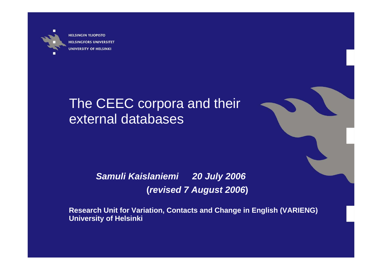

**HELSINGIN YLIOPISTO HELSINGFORS UNIVERSITET UNIVERSITY OF HELSINKI** 

# The CEEC corpora and their external databases



*Samuli Kaislaniemi 20 July 2006* **(***revised 7 August 2006***)**

**Research Unit for Variation, Contacts and Change in English (VARIENG) University of Helsinki**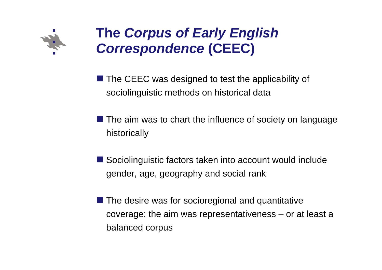

# **The** *Corpus of Early English Correspondence* **(CEEC)**

 $\blacksquare$  The CEEC was designed to test the applicability of sociolinguistic methods on historical data

- The aim was to chart the influence of society on language historically
- Sociolinguistic factors taken into account would include gender, age, geography and social rank
- $\blacksquare$  The desire was for socioregional and quantitative coverage: the aim was representativeness – or at least a balanced corpus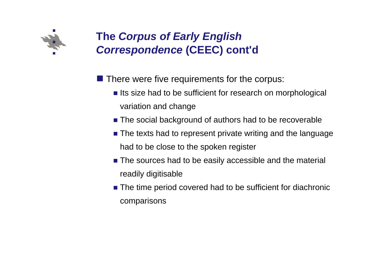

## **The** *Corpus of Early English Correspondence* **(CEEC) cont'd**

 $\blacksquare$  There were five requirements for the corpus:

- **Iftendia** Its size had to be sufficient for research on morphological variation and change
- **The social background of authors had to be recoverable**
- **The texts had to represent private writing and the language** had to be close to the spoken register
- **The sources had to be easily accessible and the material** readily digitisable
- The time period covered had to be sufficient for diachronic comparisons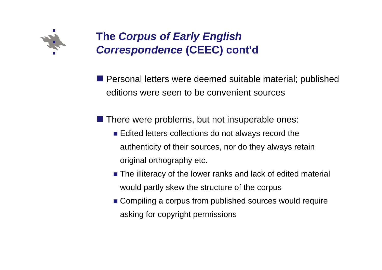

## **The** *Corpus of Early English Correspondence* **(CEEC) cont'd**

**Personal letters were deemed suitable material; published** editions were seen to be convenient sources

**There were problems, but not insuperable ones:** 

- **Edited letters collections do not always record the** authenticity of their sources, nor do they always retain original orthography etc.
- **The illiteracy of the lower ranks and lack of edited material** would partly skew the structure of the corpus
- Compiling a corpus from published sources would require asking for copyright permissions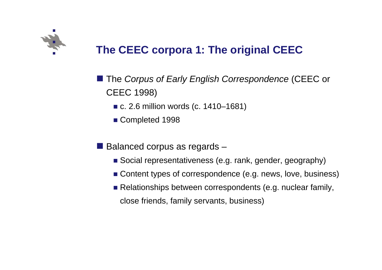

# **The CEEC corpora 1: The original CEEC**

- **The Corpus of Early English Correspondence (CEEC or** CEEC 1998)
	- c. 2.6 million words (c. 1410–1681)
	- Completed 1998
- Balanced corpus as regards –
	- Social representativeness (e.g. rank, gender, geography)
	- Content types of correspondence (e.g. news, love, business)
	- Relationships between correspondents (e.g. nuclear family, close friends, family servants, business)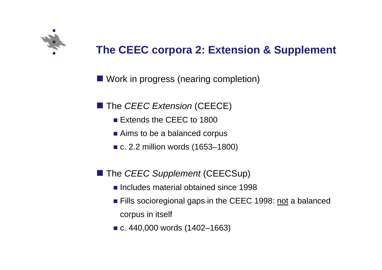

# **The CEEC corpora 2: Extension & Supplement**

**Nork in progress (nearing completion)** 

**The** *CEEC Extension* (CEECE)

- **Extends the CEEC to 1800**
- Aims to be a balanced corpus
- c. 2.2 million words (1653–1800)
- The *CEEC Supplement* (CEECSup)
	- **Includes material obtained since 1998**
	- **Fills socioregional gaps in the CEEC 1998: not a balanced** corpus in itself
	- c. 440,000 words (1402–1663)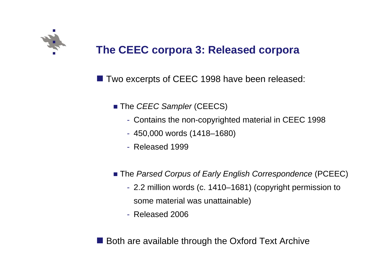

## **The CEEC corpora 3: Released corpora**

**The Two excerpts of CEEC 1998 have been released:** 

- The *CEEC Sampler* (CEECS)
	- Contains the non-copyrighted material in CEEC 1998
	- 450,000 words (1418–1680)
	- Released 1999
- The *Parsed Corpus of Early English Correspondence* (PCEEC)
	- 2.2 million words (c. 1410–1681) (copyright permission to some material was unattainable)
	- Released 2006

Both are available through the Oxford Text Archive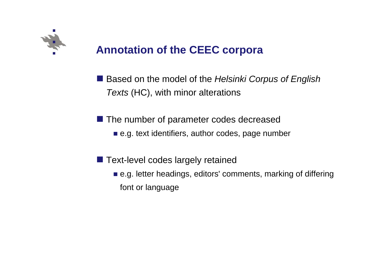

# **Annotation of the CEEC corpora**

■ Based on the model of the *Helsinki Corpus of English Texts* (HC), with minor alterations

**The number of parameter codes decreased** 

- e.g. text identifiers, author codes, page number
- **Text-level codes largely retained** 
	- e.g. letter headings, editors' comments, marking of differing font or language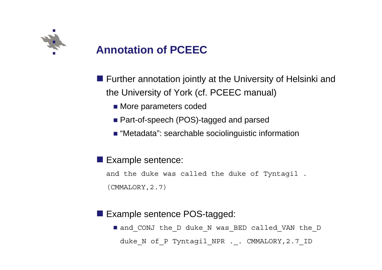

# **Annotation of PCEEC**

- **Further annotation jointly at the University of Helsinki and** the University of York (cf. PCEEC manual)
	- **Nore parameters coded**
	- Part-of-speech (POS)-tagged and parsed
	- "Metadata": searchable sociolinguistic information
- **Example sentence:**

and the duke was called the duke of Tyntagil . (CMMALORY,2.7)

#### **Example sentence POS-tagged:**

 and\_CONJ the\_D duke\_N was\_BED called\_VAN the\_D duke\_N of\_P Tyntagil\_NPR .\_. CMMALORY,2.7\_ID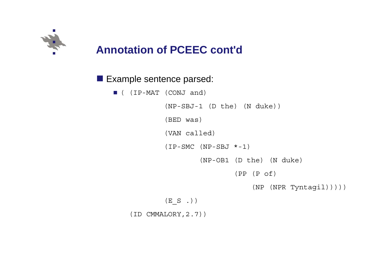

## **Annotation of PCEEC cont'd**

#### **Example sentence parsed:**

( (IP-MAT (CONJ and)

(NP-SBJ-1 (D the) (N duke)) (BED was) (VAN called)  $(IP-SMC (NP-SBJ *-1))$ (NP-OB1 (D the) (N duke) (PP (P of)

(NP (NPR Tyntagil)))))

 $(E_S$ .)

(ID CMMALORY,2.7))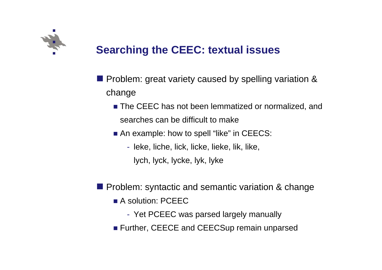

# **Searching the CEEC: textual issues**

- **Problem: great variety caused by spelling variation &** change
	- **The CEEC has not been lemmatized or normalized, and** searches can be difficult to make
	- An example: how to spell "like" in CEECS:
		- leke, liche, lick, licke, lieke, lik, like,
			- lych, lyck, lycke, lyk, lyke
- **Problem: syntactic and semantic variation & change** 
	- **A** solution: PCEEC
		- Yet PCEEC was parsed largely manually
	- **Further, CEECE and CEECSup remain unparsed**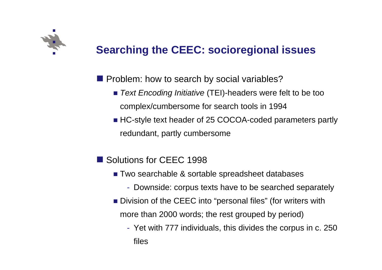

# **Searching the CEEC: socioregional issues**

**Problem: how to search by social variables?** 

- *Text Encoding Initiative* (TEI)-headers were felt to be too complex/cumbersome for search tools in 1994
- HC-style text header of 25 COCOA-coded parameters partly redundant, partly cumbersome
- Solutions for CEEC 1998
	- Two searchable & sortable spreadsheet databases
		- Downside: corpus texts have to be searched separately
	- **Division of the CEEC into "personal files" (for writers with** more than 2000 words; the rest grouped by period)
		- Yet with 777 individuals, this divides the corpus in c. 250 files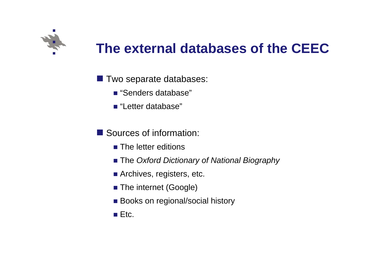

# **The external databases of the CEEC**

- **TWO separate databases:** 
	- "Senders database"
	- "Letter database"
- Sources of information:
	- **The letter editions**
	- The *Oxford Dictionary of National Biography*
	- **Archives, registers, etc.**
	- The internet (Google)
	- **Books on regional/social history**
	- $\blacksquare$  Etc.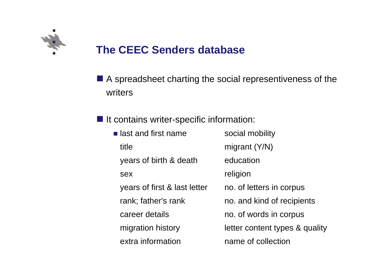

### **The CEEC Senders database**

**A** spreadsheet charting the social representiveness of the writers

**If It contains writer-specific information:** 

**Example 1 and first name in American Social mobility** title migrant (Y/N) years of birth & death education sex religion years of first & last letter no. of letters in corpus rank; father's rank no. and kind of recipients career details no. of words in corpus migration history letter content types & quality extra informationname of collection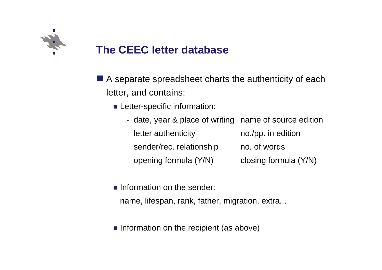

### **The CEEC letter database**

- A separate spreadsheet charts the authenticity of each letter, and contains:
	- **Letter-specific information:** 
		- date, year & place of writing name of source edition letter authenticity no./pp. in edition sender/rec. relationship no. of words opening formula (Y/N) closing formula (Y/N)
	- **Information on the sender:** 
		- name, lifespan, rank, father, migration, extra...
	- **n** Information on the recipient (as above)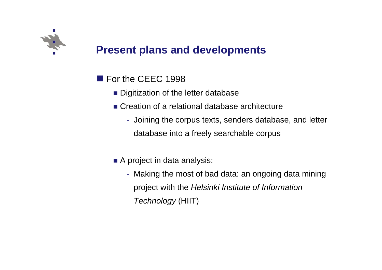

### **Present plans and developments**

- **For the CEEC 1998** 
	- **Digitization of the letter database**
	- Creation of a relational database architecture
		- Joining the corpus texts, senders database, and letter database into a freely searchable corpus
	- A project in data analysis:
		- Making the most of bad data: an ongoing data mining project with the *Helsinki Institute of Information Technology* (HIIT)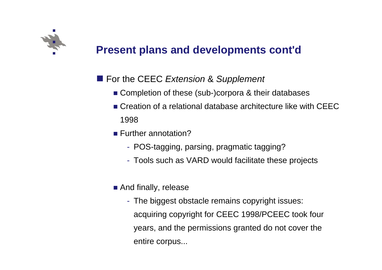

### **Present plans and developments cont'd**

#### ■ For the CEEC *Extension* & Supplement

- Completion of these (sub-)corpora & their databases
- **Creation of a relational database architecture like with CEEC** 1998
- Further annotation?
	- POS-tagging, parsing, pragmatic tagging?
	- Tools such as VARD would facilitate these projects
- **And finally, release** 
	- The biggest obstacle remains copyright issues: acquiring copyright for CEEC 1998/PCEEC took four years, and the permissions granted do not cover the entire corpus...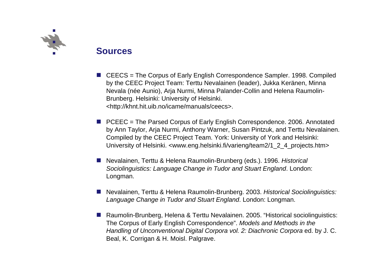

#### **Sources**

- CEECS = The Corpus of Early English Correspondence Sampler. 1998. Compiled by the CEEC Project Team: Terttu Nevalainen (leader), Jukka Keränen, Minna Nevala (née Aunio), Arja Nurmi, Minna Palander-Collin and Helena Raumolin-Brunberg. Helsinki: University of Helsinki. <http://khnt.hit.uib.no/icame/manuals/ceecs>.
- $\blacksquare$  PCEEC = The Parsed Corpus of Early English Correspondence. 2006. Annotated by Ann Taylor, Arja Nurmi, Anthony Warner, Susan Pintzuk, and Terttu Nevalainen. Compiled by the CEEC Project Team. York: University of York and Helsinki: University of Helsinki. <www.eng.helsinki.fi/varieng/team2/1\_2\_4\_projects.htm>
- Nevalainen, Terttu & Helena Raumolin-Brunberg (eds.). 1996. *Historical Sociolinguistics: Language Change in Tudor and Stuart England*. London: Longman.
- b. Nevalainen, Terttu & Helena Raumolin-Brunberg. 2003. *Historical Sociolinguistics: Language Change in Tudor and Stuart England*. London: Longman.
- Raumolin-Brunberg, Helena & Terttu Nevalainen. 2005. "Historical sociolinguistics: The Corpus of Early English Correspondence". *Models and Methods in the Handling of Unconventional Digital Corpora vol. 2: Diachronic Corpora* ed. by J. C. Beal, K. Corrigan & H. Moisl. Palgrave.